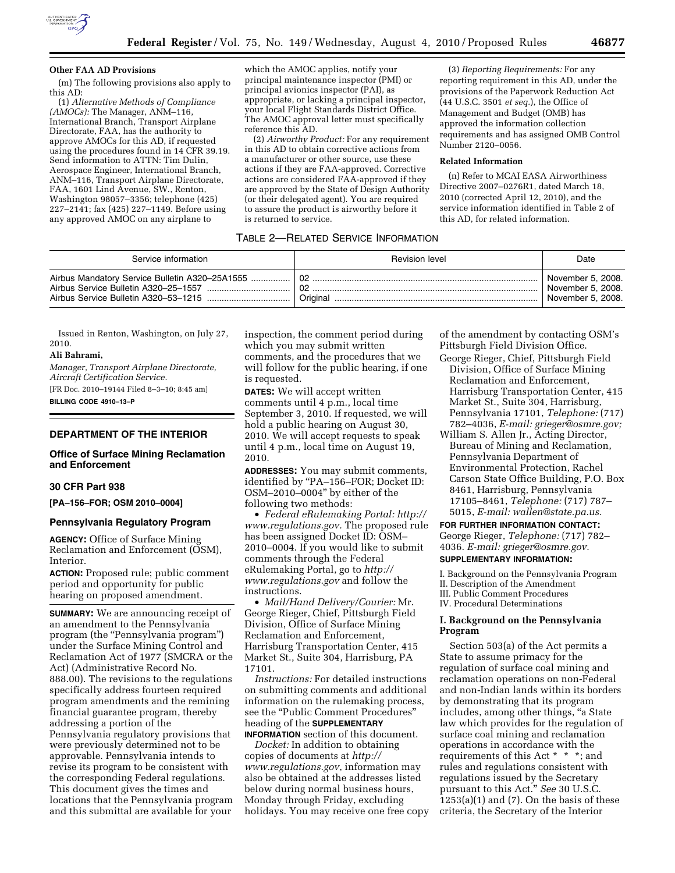

#### **Other FAA AD Provisions**

(m) The following provisions also apply to this AD:

(1) *Alternative Methods of Compliance (AMOCs):* The Manager, ANM–116, International Branch, Transport Airplane Directorate, FAA, has the authority to approve AMOCs for this AD, if requested using the procedures found in 14 CFR 39.19. Send information to ATTN: Tim Dulin, Aerospace Engineer, International Branch, ANM–116, Transport Airplane Directorate, FAA, 1601 Lind Avenue, SW., Renton, Washington 98057–3356; telephone (425) 227–2141; fax (425) 227–1149. Before using any approved AMOC on any airplane to

which the AMOC applies, notify your principal maintenance inspector (PMI) or principal avionics inspector (PAI), as appropriate, or lacking a principal inspector, your local Flight Standards District Office. The AMOC approval letter must specifically reference this AD.

(2) *Airworthy Product:* For any requirement in this AD to obtain corrective actions from a manufacturer or other source, use these actions if they are FAA-approved. Corrective actions are considered FAA-approved if they are approved by the State of Design Authority (or their delegated agent). You are required to assure the product is airworthy before it is returned to service.

(3) *Reporting Requirements:* For any reporting requirement in this AD, under the provisions of the Paperwork Reduction Act (44 U.S.C. 3501 *et seq.*), the Office of Management and Budget (OMB) has approved the information collection requirements and has assigned OMB Control Number 2120–0056.

#### **Related Information**

(n) Refer to MCAI EASA Airworthiness Directive 2007–0276R1, dated March 18, 2010 (corrected April 12, 2010), and the service information identified in Table 2 of this AD, for related information.

# TABLE 2—RELATED SERVICE INFORMATION

| Service information                                                                                                            | <b>Revision level</b> | Date                                                        |
|--------------------------------------------------------------------------------------------------------------------------------|-----------------------|-------------------------------------------------------------|
| Airbus Mandatory Service Bulletin A320-25A1555<br>Airbus Service Bulletin A320-25-1557<br>Airbus Service Bulletin A320-53-1215 | Original              | November 5, 2008.<br>November 5, 2008.<br>November 5, 2008. |

Issued in Renton, Washington, on July 27, 2010.

#### **Ali Bahrami,**

*Manager, Transport Airplane Directorate, Aircraft Certification Service.*  [FR Doc. 2010–19144 Filed 8–3–10; 8:45 am] **BILLING CODE 4910–13–P** 

## **DEPARTMENT OF THE INTERIOR**

# **Office of Surface Mining Reclamation and Enforcement**

## **30 CFR Part 938**

**[PA–156–FOR; OSM 2010–0004]** 

#### **Pennsylvania Regulatory Program**

**AGENCY:** Office of Surface Mining Reclamation and Enforcement (OSM), Interior.

**ACTION:** Proposed rule; public comment period and opportunity for public hearing on proposed amendment.

**SUMMARY:** We are announcing receipt of an amendment to the Pennsylvania program (the "Pennsylvania program") under the Surface Mining Control and Reclamation Act of 1977 (SMCRA or the Act) (Administrative Record No. 888.00). The revisions to the regulations specifically address fourteen required program amendments and the remining financial guarantee program, thereby addressing a portion of the Pennsylvania regulatory provisions that were previously determined not to be approvable. Pennsylvania intends to revise its program to be consistent with the corresponding Federal regulations. This document gives the times and locations that the Pennsylvania program and this submittal are available for your

inspection, the comment period during which you may submit written comments, and the procedures that we will follow for the public hearing, if one is requested.

**DATES:** We will accept written comments until 4 p.m., local time September 3, 2010. If requested, we will hold a public hearing on August 30, 2010. We will accept requests to speak until 4 p.m., local time on August 19, 2010.

**ADDRESSES:** You may submit comments, identified by ''PA–156–FOR; Docket ID: OSM–2010–0004'' by either of the following two methods:

• *Federal eRulemaking Portal: [http://](http://www.regulations.gov)  [www.regulations.gov.](http://www.regulations.gov)* The proposed rule has been assigned Docket ID: OSM– 2010–0004. If you would like to submit comments through the Federal eRulemaking Portal, go to *[http://](http://www.regulations.gov)  [www.regulations.gov](http://www.regulations.gov)* and follow the instructions.

• *Mail/Hand Delivery/Courier:* Mr. George Rieger, Chief, Pittsburgh Field Division, Office of Surface Mining Reclamation and Enforcement, Harrisburg Transportation Center, 415 Market St., Suite 304, Harrisburg, PA 17101.

*Instructions:* For detailed instructions on submitting comments and additional information on the rulemaking process, see the "Public Comment Procedures" heading of the **SUPPLEMENTARY INFORMATION** section of this document.

*Docket:* In addition to obtaining copies of documents at *[http://](http://www.regulations.gov)  [www.regulations.gov](http://www.regulations.gov)*, information may also be obtained at the addresses listed below during normal business hours, Monday through Friday, excluding holidays. You may receive one free copy of the amendment by contacting OSM's Pittsburgh Field Division Office.

- George Rieger, Chief, Pittsburgh Field Division, Office of Surface Mining Reclamation and Enforcement, Harrisburg Transportation Center, 415 Market St., Suite 304, Harrisburg, Pennsylvania 17101, *Telephone:* (717) 782–4036, *E-mail: [grieger@osmre.gov;](mailto:grieger@osmre.gov)*
- William S. Allen Jr., Acting Director, Bureau of Mining and Reclamation, Pennsylvania Department of Environmental Protection, Rachel Carson State Office Building, P.O. Box 8461, Harrisburg, Pennsylvania 17105–8461, *Telephone:* (717) 787– 5015, *E-mail: [wallen@state.pa.us.](mailto:wallen@state.pa.us)*

**FOR FURTHER INFORMATION CONTACT:**  George Rieger, *Telephone:* (717) 782–

4036. *E-mail: [grieger@osmre.gov.](mailto:grieger@osmre.gov)* 

# **SUPPLEMENTARY INFORMATION:**

I. Background on the Pennsylvania Program II. Description of the Amendment III. Public Comment Procedures IV. Procedural Determinations

## **I. Background on the Pennsylvania Program**

Section 503(a) of the Act permits a State to assume primacy for the regulation of surface coal mining and reclamation operations on non-Federal and non-Indian lands within its borders by demonstrating that its program includes, among other things, "a State" law which provides for the regulation of surface coal mining and reclamation operations in accordance with the requirements of this Act \* \* \*; and rules and regulations consistent with regulations issued by the Secretary pursuant to this Act.'' *See* 30 U.S.C.  $1253(a)(1)$  and  $(7)$ . On the basis of these criteria, the Secretary of the Interior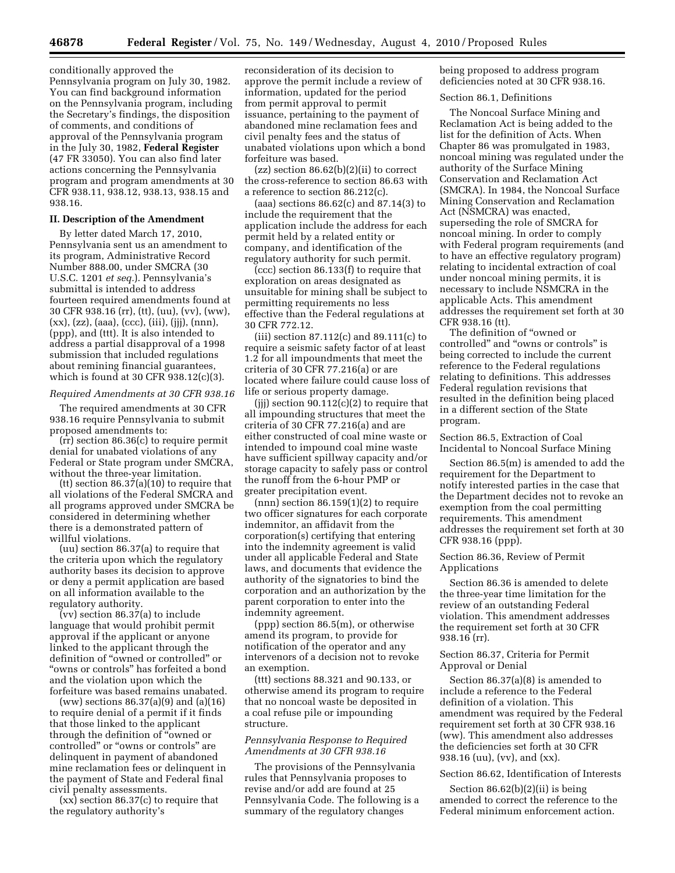conditionally approved the Pennsylvania program on July 30, 1982. You can find background information on the Pennsylvania program, including the Secretary's findings, the disposition of comments, and conditions of approval of the Pennsylvania program in the July 30, 1982, **Federal Register**  (47 FR 33050). You can also find later actions concerning the Pennsylvania program and program amendments at 30 CFR 938.11, 938.12, 938.13, 938.15 and 938.16.

## **II. Description of the Amendment**

By letter dated March 17, 2010, Pennsylvania sent us an amendment to its program, Administrative Record Number 888.00, under SMCRA (30 U.S.C. 1201 *et seq.*). Pennsylvania's submittal is intended to address fourteen required amendments found at 30 CFR 938.16 (rr), (tt), (uu), (vv), (ww), (xx), (zz), (aaa), (ccc), (iii), (jjj), (nnn), (ppp), and (ttt). It is also intended to address a partial disapproval of a 1998 submission that included regulations about remining financial guarantees, which is found at 30 CFR 938.12(c)(3).

#### *Required Amendments at 30 CFR 938.16*

The required amendments at 30 CFR 938.16 require Pennsylvania to submit proposed amendments to:

(rr) section 86.36(c) to require permit denial for unabated violations of any Federal or State program under SMCRA, without the three-year limitation.

(tt) section  $86.37(a)(10)$  to require that all violations of the Federal SMCRA and all programs approved under SMCRA be considered in determining whether there is a demonstrated pattern of willful violations.

(uu) section 86.37(a) to require that the criteria upon which the regulatory authority bases its decision to approve or deny a permit application are based on all information available to the regulatory authority.

(vv) section 86.37(a) to include language that would prohibit permit approval if the applicant or anyone linked to the applicant through the definition of ''owned or controlled'' or ''owns or controls'' has forfeited a bond and the violation upon which the forfeiture was based remains unabated.

(ww) sections 86.37(a)(9) and (a)(16) to require denial of a permit if it finds that those linked to the applicant through the definition of ''owned or controlled'' or ''owns or controls'' are delinquent in payment of abandoned mine reclamation fees or delinquent in the payment of State and Federal final civil penalty assessments.

(xx) section 86.37(c) to require that the regulatory authority's

reconsideration of its decision to approve the permit include a review of information, updated for the period from permit approval to permit issuance, pertaining to the payment of abandoned mine reclamation fees and civil penalty fees and the status of unabated violations upon which a bond forfeiture was based.

 $(zz)$  section 86.62(b)(2)(ii) to correct the cross-reference to section 86.63 with a reference to section 86.212(c).

(aaa) sections 86.62(c) and 87.14(3) to include the requirement that the application include the address for each permit held by a related entity or company, and identification of the regulatory authority for such permit.

(ccc) section 86.133(f) to require that exploration on areas designated as unsuitable for mining shall be subject to permitting requirements no less effective than the Federal regulations at 30 CFR 772.12.

(iii) section 87.112(c) and 89.111(c) to require a seismic safety factor of at least 1.2 for all impoundments that meet the criteria of 30 CFR 77.216(a) or are located where failure could cause loss of life or serious property damage.

(jjj) section 90.112(c)(2) to require that all impounding structures that meet the criteria of 30 CFR 77.216(a) and are either constructed of coal mine waste or intended to impound coal mine waste have sufficient spillway capacity and/or storage capacity to safely pass or control the runoff from the 6-hour PMP or greater precipitation event.

 $(nnn)$  section 86.159 $(1)(2)$  to require two officer signatures for each corporate indemnitor, an affidavit from the corporation(s) certifying that entering into the indemnity agreement is valid under all applicable Federal and State laws, and documents that evidence the authority of the signatories to bind the corporation and an authorization by the parent corporation to enter into the indemnity agreement.

(ppp) section 86.5(m), or otherwise amend its program, to provide for notification of the operator and any intervenors of a decision not to revoke an exemption.

(ttt) sections 88.321 and 90.133, or otherwise amend its program to require that no noncoal waste be deposited in a coal refuse pile or impounding structure.

## *Pennsylvania Response to Required Amendments at 30 CFR 938.16*

The provisions of the Pennsylvania rules that Pennsylvania proposes to revise and/or add are found at 25 Pennsylvania Code. The following is a summary of the regulatory changes

being proposed to address program deficiencies noted at 30 CFR 938.16.

#### Section 86.1, Definitions

The Noncoal Surface Mining and Reclamation Act is being added to the list for the definition of Acts. When Chapter 86 was promulgated in 1983, noncoal mining was regulated under the authority of the Surface Mining Conservation and Reclamation Act (SMCRA). In 1984, the Noncoal Surface Mining Conservation and Reclamation Act (NSMCRA) was enacted, superseding the role of SMCRA for noncoal mining. In order to comply with Federal program requirements (and to have an effective regulatory program) relating to incidental extraction of coal under noncoal mining permits, it is necessary to include NSMCRA in the applicable Acts. This amendment addresses the requirement set forth at 30 CFR 938.16 (tt).

The definition of ''owned or controlled'' and ''owns or controls'' is being corrected to include the current reference to the Federal regulations relating to definitions. This addresses Federal regulation revisions that resulted in the definition being placed in a different section of the State program.

Section 86.5, Extraction of Coal Incidental to Noncoal Surface Mining

Section 86.5(m) is amended to add the requirement for the Department to notify interested parties in the case that the Department decides not to revoke an exemption from the coal permitting requirements. This amendment addresses the requirement set forth at 30 CFR 938.16 (ppp).

## Section 86.36, Review of Permit Applications

Section 86.36 is amended to delete the three-year time limitation for the review of an outstanding Federal violation. This amendment addresses the requirement set forth at 30 CFR 938.16 (rr).

## Section 86.37, Criteria for Permit Approval or Denial

Section 86.37(a)(8) is amended to include a reference to the Federal definition of a violation. This amendment was required by the Federal requirement set forth at 30 CFR 938.16 (ww). This amendment also addresses the deficiencies set forth at 30 CFR 938.16 (uu), (vv), and (xx).

# Section 86.62, Identification of Interests

Section 86.62(b)(2)(ii) is being amended to correct the reference to the Federal minimum enforcement action.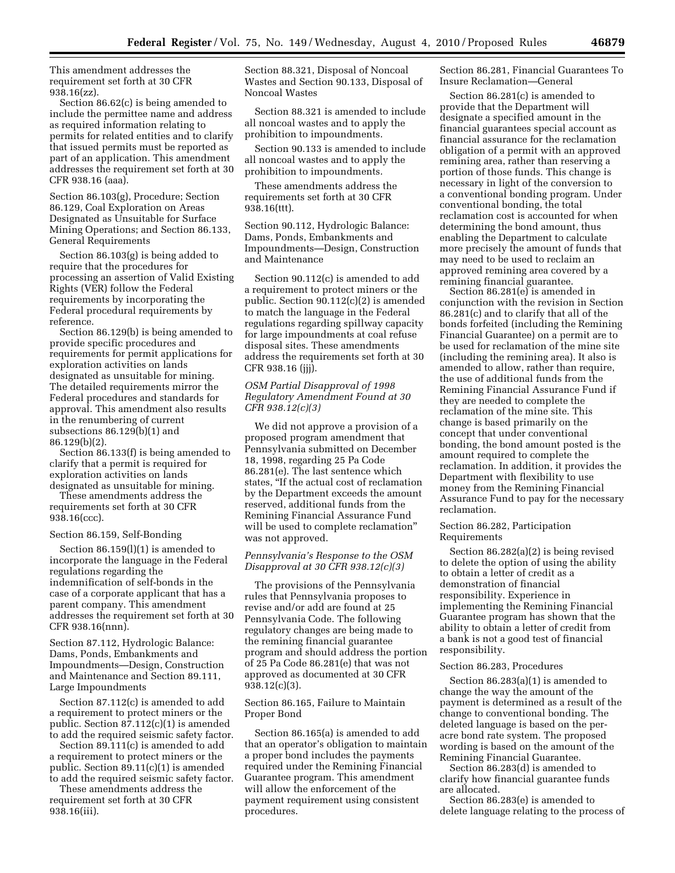This amendment addresses the requirement set forth at 30 CFR 938.16(zz).

Section 86.62(c) is being amended to include the permittee name and address as required information relating to permits for related entities and to clarify that issued permits must be reported as part of an application. This amendment addresses the requirement set forth at 30 CFR 938.16 (aaa).

Section 86.103(g), Procedure; Section 86.129, Coal Exploration on Areas Designated as Unsuitable for Surface Mining Operations; and Section 86.133, General Requirements

Section 86.103(g) is being added to require that the procedures for processing an assertion of Valid Existing Rights (VER) follow the Federal requirements by incorporating the Federal procedural requirements by reference.

Section 86.129(b) is being amended to provide specific procedures and requirements for permit applications for exploration activities on lands designated as unsuitable for mining. The detailed requirements mirror the Federal procedures and standards for approval. This amendment also results in the renumbering of current subsections 86.129(b)(1) and 86.129(b)(2).

Section 86.133(f) is being amended to clarify that a permit is required for exploration activities on lands designated as unsuitable for mining.

These amendments address the requirements set forth at 30 CFR 938.16(ccc).

#### Section 86.159, Self-Bonding

Section 86.159(l)(1) is amended to incorporate the language in the Federal regulations regarding the indemnification of self-bonds in the case of a corporate applicant that has a parent company. This amendment addresses the requirement set forth at 30 CFR 938.16(nnn).

Section 87.112, Hydrologic Balance: Dams, Ponds, Embankments and Impoundments—Design, Construction and Maintenance and Section 89.111, Large Impoundments

Section 87.112(c) is amended to add a requirement to protect miners or the public. Section 87.112(c)(1) is amended to add the required seismic safety factor.

Section 89.111(c) is amended to add a requirement to protect miners or the public. Section 89.11(c)(1) is amended to add the required seismic safety factor.

These amendments address the requirement set forth at 30 CFR 938.16(iii).

Section 88.321, Disposal of Noncoal Wastes and Section 90.133, Disposal of Noncoal Wastes

Section 88.321 is amended to include all noncoal wastes and to apply the prohibition to impoundments.

Section 90.133 is amended to include all noncoal wastes and to apply the prohibition to impoundments.

These amendments address the requirements set forth at 30 CFR 938.16(ttt).

Section 90.112, Hydrologic Balance: Dams, Ponds, Embankments and Impoundments—Design, Construction and Maintenance

Section 90.112(c) is amended to add a requirement to protect miners or the public. Section 90.112(c)(2) is amended to match the language in the Federal regulations regarding spillway capacity for large impoundments at coal refuse disposal sites. These amendments address the requirements set forth at 30 CFR 938.16 (jjj).

# *OSM Partial Disapproval of 1998 Regulatory Amendment Found at 30 CFR 938.12(c)(3)*

We did not approve a provision of a proposed program amendment that Pennsylvania submitted on December 18, 1998, regarding 25 Pa Code 86.281(e). The last sentence which states, ''If the actual cost of reclamation by the Department exceeds the amount reserved, additional funds from the Remining Financial Assurance Fund will be used to complete reclamation'' was not approved.

## *Pennsylvania's Response to the OSM Disapproval at 30 CFR 938.12(c)(3)*

The provisions of the Pennsylvania rules that Pennsylvania proposes to revise and/or add are found at 25 Pennsylvania Code. The following regulatory changes are being made to the remining financial guarantee program and should address the portion of 25 Pa Code 86.281(e) that was not approved as documented at 30 CFR 938.12(c)(3).

# Section 86.165, Failure to Maintain Proper Bond

Section 86.165(a) is amended to add that an operator's obligation to maintain a proper bond includes the payments required under the Remining Financial Guarantee program. This amendment will allow the enforcement of the payment requirement using consistent procedures.

Section 86.281, Financial Guarantees To Insure Reclamation—General

Section 86.281(c) is amended to provide that the Department will designate a specified amount in the financial guarantees special account as financial assurance for the reclamation obligation of a permit with an approved remining area, rather than reserving a portion of those funds. This change is necessary in light of the conversion to a conventional bonding program. Under conventional bonding, the total reclamation cost is accounted for when determining the bond amount, thus enabling the Department to calculate more precisely the amount of funds that may need to be used to reclaim an approved remining area covered by a remining financial guarantee.

Section 86.281(e) is amended in conjunction with the revision in Section 86.281(c) and to clarify that all of the bonds forfeited (including the Remining Financial Guarantee) on a permit are to be used for reclamation of the mine site (including the remining area). It also is amended to allow, rather than require, the use of additional funds from the Remining Financial Assurance Fund if they are needed to complete the reclamation of the mine site. This change is based primarily on the concept that under conventional bonding, the bond amount posted is the amount required to complete the reclamation. In addition, it provides the Department with flexibility to use money from the Remining Financial Assurance Fund to pay for the necessary reclamation.

## Section 86.282, Participation Requirements

Section 86.282(a)(2) is being revised to delete the option of using the ability to obtain a letter of credit as a demonstration of financial responsibility. Experience in implementing the Remining Financial Guarantee program has shown that the ability to obtain a letter of credit from a bank is not a good test of financial responsibility.

# Section 86.283, Procedures

Section 86.283(a)(1) is amended to change the way the amount of the payment is determined as a result of the change to conventional bonding. The deleted language is based on the peracre bond rate system. The proposed wording is based on the amount of the Remining Financial Guarantee.

Section 86.283(d) is amended to clarify how financial guarantee funds are allocated.

Section 86.283(e) is amended to delete language relating to the process of